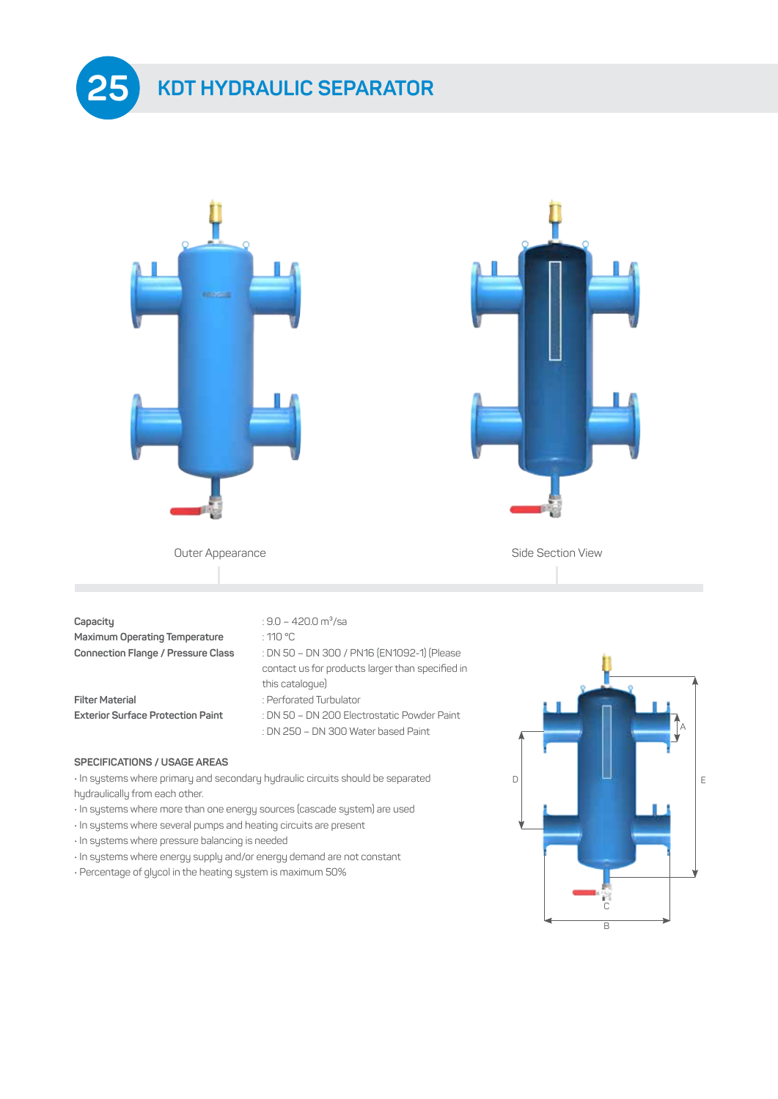





Outer Appearance **Side Section View** 

#### **Capacity** : 9.0 – 420.0 m<sup>3</sup>/sa

**Maximum Operating Temperature** : 110 °C **Connection Flange / Pressure Class** : DN 50 – DN 300 / PN16 (EN1092-1) (Please

**Filter Material** : Perforated Turbulator **Exterior Surface Protection Paint** : DN 50 – DN 200 Electrostatic Powder Paint

#### **SPECIFICATIONS / USAGE AREAS**

• In systems where primary and secondary hydraulic circuits should be separated hydraulically from each other.

this catalogue)

contact us for products larger than specified in

: DN 250 – DN 300 Water based Paint

- In systems where more than one energy sources (cascade system) are used
- In systems where several pumps and heating circuits are present
- In systems where pressure balancing is needed
- In systems where energy supply and/or energy demand are not constant
- Percentage of glycol in the heating system is maximum 50%